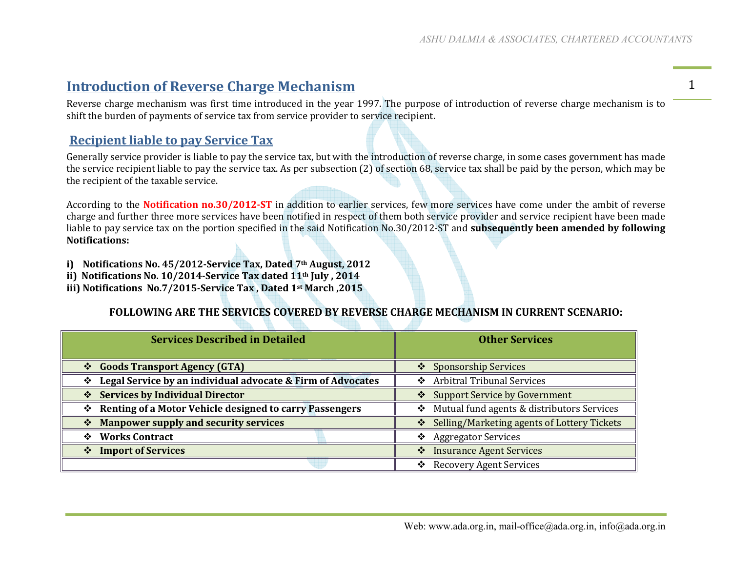## **Introduction of Reverse Charge Mechanism**

Introduction of Reverse Charge Mechanism<br>Reverse charge mechanism was first time introduced in the year 1997. The purpose of introduction of reverse charge mechanism is to  $\overline{\hspace{1.5cm}}$ shift the burden of payments of service tax from service provider to service recipient.

## **Recipient liable to pay Service Tax**

Generally service provider is liable to pay the service tax, but with the introduction of reverse charge, in some cases government has made the service recipient liable to pay the service tax. As per subsection (2) of section 68, service tax shall be paid by the person, which may be the recipient of the taxable service.

According to the **Notification no.30/2012-ST** in addition to earlier services, few more services have come under the ambit of reverse charge and further three more services have been notified in respect of them both service provider and service recipient have been made liable to pay service tax on the portion specified in the said Notification No.30/2012‐ST and **subsequently been amended by following Notifications:**

- **i) Notifications No. 45/2012-Service Tax, Dated 7th August, 2012**
- **ii) Notifications No. 10/2014-Service Tax dated 11th July , 2014**
- **iii) Notifications No.7/2015-Service Tax , Dated 1st March ,2015**

## **FOLLOWING ARE THE SERVICES COVERED BY REVERSE CHARGE MECHANISM IN CURRENT SCENARIO:**

| <b>Services Described in Detailed</b>                         | <b>Other Services</b>                           |  |  |
|---------------------------------------------------------------|-------------------------------------------------|--|--|
| Goods Transport Agency (GTA)                                  | ❖ Sponsorship Services                          |  |  |
| ❖ Legal Service by an individual advocate & Firm of Advocates | ❖ Arbitral Tribunal Services                    |  |  |
| ❖ Services by Individual Director                             | Support Service by Government                   |  |  |
| ❖ Renting of a Motor Vehicle designed to carry Passengers     | Mutual fund agents & distributors Services<br>❖ |  |  |
| * Manpower supply and security services                       | Selling/Marketing agents of Lottery Tickets     |  |  |
| ❖ Works Contract                                              | <b>Aggregator Services</b><br>❖                 |  |  |
| ❖ Import of Services                                          | <b>Insurance Agent Services</b><br>❖            |  |  |
|                                                               | ❖ Recovery Agent Services                       |  |  |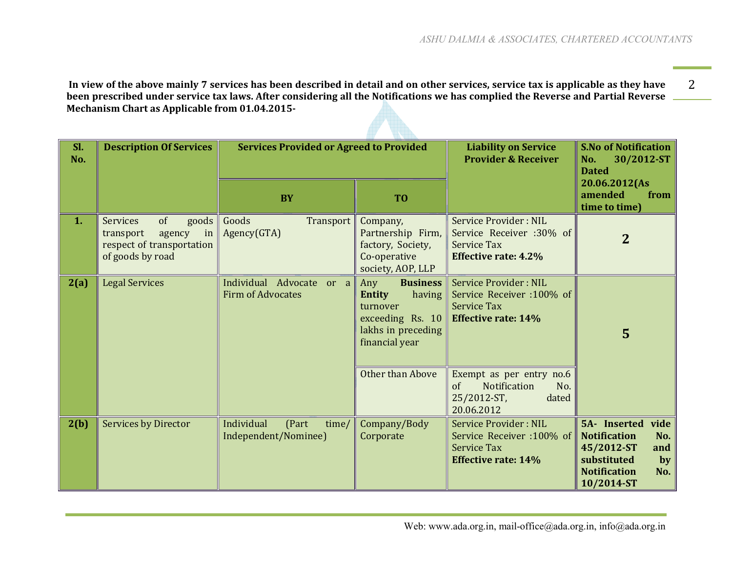**In view of the above mainly 7 services has been described in detail and on other services, service tax is applicable as they have** 2 **been prescribed under service tax laws. After considering all the Notifications we has complied the Reverse and Partial Reverse Mechanism Chart as Applicable from 01.04.2015-** 

| SI.<br>No. | <b>Description Of Services</b>                                                                               | <b>Services Provided or Agreed to Provided</b>       |                                                                                                                           | <b>Liability on Service</b><br><b>Provider &amp; Receiver</b>                                                 | <b>S.No of Notification</b><br>30/2012-ST<br>No.<br><b>Dated</b>                                                                         |
|------------|--------------------------------------------------------------------------------------------------------------|------------------------------------------------------|---------------------------------------------------------------------------------------------------------------------------|---------------------------------------------------------------------------------------------------------------|------------------------------------------------------------------------------------------------------------------------------------------|
|            |                                                                                                              | <b>BY</b>                                            | T <sub>0</sub>                                                                                                            |                                                                                                               | 20.06.2012(As<br>amended<br>from<br>time to time)                                                                                        |
| 1.         | <b>Services</b><br>of<br>goods<br>transport<br>in<br>agency<br>respect of transportation<br>of goods by road | Goods<br>Transport<br>Agency(GTA)                    | Company,<br>Partnership Firm,<br>factory, Society,<br>Co-operative<br>society, AOP, LLP                                   | Service Provider: NIL<br>Service Receiver :30% of<br><b>Service Tax</b><br><b>Effective rate: 4.2%</b>        | $\overline{2}$                                                                                                                           |
| 2(a)       | <b>Legal Services</b>                                                                                        | Individual Advocate or a<br><b>Firm of Advocates</b> | <b>Business</b><br>Any<br><b>Entity</b><br>having<br>turnover<br>exceeding Rs. 10<br>lakhs in preceding<br>financial year | <b>Service Provider: NIL</b><br>Service Receiver :100% of<br><b>Service Tax</b><br><b>Effective rate: 14%</b> | 5                                                                                                                                        |
|            |                                                                                                              |                                                      | Other than Above                                                                                                          | Exempt as per entry no.6<br>of<br><b>Notification</b><br>No.<br>25/2012-ST,<br>dated<br>20.06.2012            |                                                                                                                                          |
| 2(b)       | <b>Services by Director</b>                                                                                  | Individual<br>(Part<br>time/<br>Independent/Nominee) | Company/Body<br>Corporate                                                                                                 | <b>Service Provider: NIL</b><br>Service Receiver :100% of<br><b>Service Tax</b><br><b>Effective rate: 14%</b> | vide<br>5A- Inserted<br><b>Notification</b><br>No.<br>45/2012-ST<br>and<br>substituted<br>by<br><b>Notification</b><br>No.<br>10/2014-ST |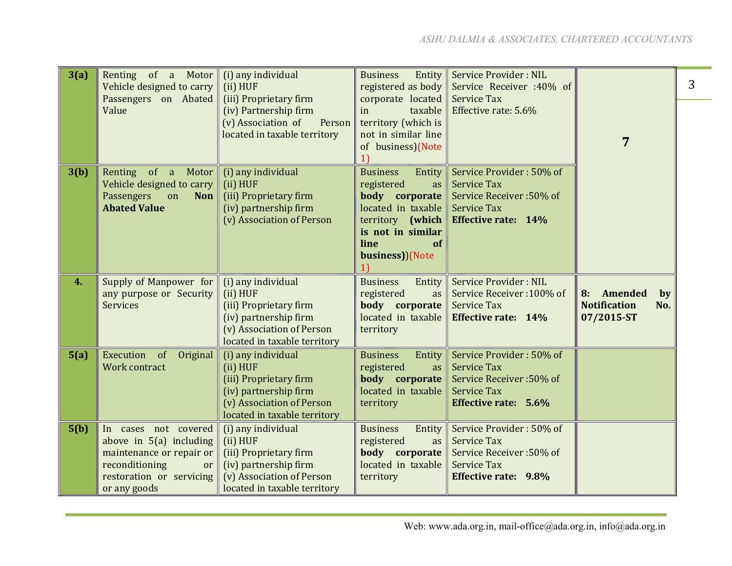| 3(a) | Renting of a Motor<br>Vehicle designed to carry       | (i) any individual<br>(ii) HUF                                                  | <b>Business</b><br>Entity<br>registered as body           | Service Provider: NIL<br>Service Receiver :40% of |                                                | 3 |
|------|-------------------------------------------------------|---------------------------------------------------------------------------------|-----------------------------------------------------------|---------------------------------------------------|------------------------------------------------|---|
|      | Passengers on Abated<br>Value                         | (iii) Proprietary firm<br>(iv) Partnership firm<br>(v) Association of<br>Person | corporate located<br>taxable<br>in<br>territory (which is | <b>Service Tax</b><br>Effective rate: 5.6%        |                                                |   |
|      |                                                       | located in taxable territory                                                    | not in similar line<br>of business)(Note                  |                                                   | 7                                              |   |
| 3(b) | Renting of a<br>Motor<br>Vehicle designed to carry    | (i) any individual<br>(ii) HUF                                                  | <b>Business</b><br>Entity<br>registered<br>as             | Service Provider: 50% of<br><b>Service Tax</b>    |                                                |   |
|      | Passengers<br><b>Non</b><br>on<br><b>Abated Value</b> | (iii) Proprietary firm<br>(iv) partnership firm                                 | body corporate<br>located in taxable                      | Service Receiver: 50% of<br><b>Service Tax</b>    |                                                |   |
|      |                                                       | (v) Association of Person                                                       | territory (which                                          | <b>Effective rate: 14%</b>                        |                                                |   |
|      |                                                       |                                                                                 | is not in similar                                         |                                                   |                                                |   |
|      |                                                       |                                                                                 | line<br>of<br>business))(Note                             |                                                   |                                                |   |
|      |                                                       |                                                                                 |                                                           |                                                   |                                                |   |
| 4.   | Supply of Manpower for                                | (i) any individual                                                              | <b>Business</b><br>Entity                                 | Service Provider: NIL                             |                                                |   |
|      | any purpose or Security<br><b>Services</b>            | (ii) HUF<br>(iii) Proprietary firm                                              | registered<br>as<br>body corporate                        | Service Receiver: 100% of<br><b>Service Tax</b>   | 8: Amended<br>by<br><b>Notification</b><br>No. |   |
|      |                                                       | (iv) partnership firm                                                           | located in taxable                                        | <b>Effective rate: 14%</b>                        | 07/2015-ST                                     |   |
|      |                                                       | (v) Association of Person                                                       | territory                                                 |                                                   |                                                |   |
|      |                                                       | located in taxable territory                                                    |                                                           |                                                   |                                                |   |
| 5(a) | Execution of<br>Original<br>Work contract             | (i) any individual<br>(ii) HUF                                                  | <b>Business</b><br>Entity<br>registered<br>as             | Service Provider: 50% of<br><b>Service Tax</b>    |                                                |   |
|      |                                                       | (iii) Proprietary firm                                                          | body corporate                                            | Service Receiver: 50% of                          |                                                |   |
|      |                                                       | (iv) partnership firm                                                           | located in taxable                                        | <b>Service Tax</b>                                |                                                |   |
|      |                                                       | (v) Association of Person                                                       | territory                                                 | Effective rate: 5.6%                              |                                                |   |
| 5(b) | In cases not covered                                  | located in taxable territory<br>(i) any individual                              | Entity<br><b>Business</b>                                 | Service Provider: 50% of                          |                                                |   |
|      | above in $5(a)$ including                             | (ii) HUF                                                                        | registered<br>as                                          | <b>Service Tax</b>                                |                                                |   |
|      | maintenance or repair or                              | (iii) Proprietary firm                                                          | body corporate                                            | Service Receiver: 50% of                          |                                                |   |
|      | reconditioning<br>or                                  | (iv) partnership firm                                                           | located in taxable                                        | <b>Service Tax</b>                                |                                                |   |
|      | restoration or servicing                              | (v) Association of Person                                                       | territory                                                 | <b>Effective rate: 9.8%</b>                       |                                                |   |
|      | or any goods                                          | located in taxable territory                                                    |                                                           |                                                   |                                                |   |